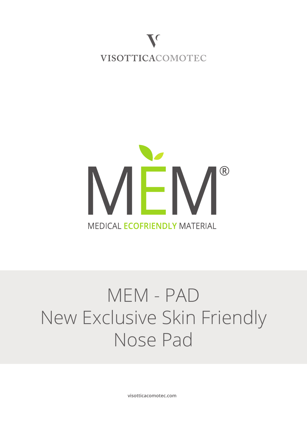



# MEM - PAD New Exclusive Skin Friendly Nose Pad

**visotticacomotec.com**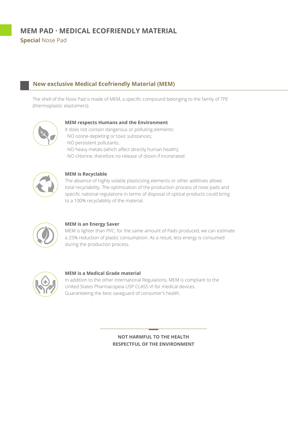## **New exclusive Medical Ecofriendly Material (MEM)**

The shell of the Nose Pad is made of MEM, a specific compound belonging to the family of TPE (thermoplastic elastomers).



## **MEM respects Humans and the Environment**

It does not contain dangerous or polluting elements:

- · NO ozone-depleting or toxic substances;
- · NO persistent pollutants;
- · NO heavy metals (which affect directly human health);
- · NO chlorine, therefore no release of dioxin if incinerated.



## **MEM is Recyclable**

The absence of highly volatile plasticizing elements or other additives allows total recyclability. The optimization of the production process of nose pads and specific national regulations in terms of disposal of optical products could bring to a 100% recyclability of the material.



## **MEM is an Energy Saver**

MEM is lighter than PVC; for the same amount of Pads produced, we can estimate a 25% reduction of plastic consumption. As a result, less energy is consumed during the production process.



#### **MEM is a Medical Grade material**

In addition to the other International Regulations, MEM is compliant to the United States Pharmacopeia USP CLASS VI for medical devices. Guaranteeing the best saveguard of consumer's health.

> **NOT HARMFUL TO THE HEALTH RESPECTFUL OF THE ENVIRONMENT**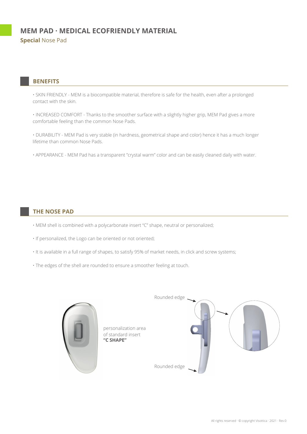## **BENEFITS**

• SKIN FRIENDLY - MEM is a biocompatible material, therefore is safe for the health, even after a prolonged contact with the skin.

• INCREASED COMFORT - Thanks to the smoother surface with a slightly higher grip, MEM Pad gives a more comfortable feeling than the common Nose Pads.

• DURABILITY - MEM Pad is very stable (in hardness, geometrical shape and color) hence it has a much longer lifetime than common Nose Pads.

• APPEARANCE - MEM Pad has a transparent "crystal warm" color and can be easily cleaned daily with water.

## **THE NOSE PAD**

- MEM shell is combined with a polycarbonate insert "C" shape, neutral or personalized;
- If personalized, the Logo can be oriented or not oriented;
- It is available in a full range of shapes, to satisfy 95% of market needs, in click and screw systems;
- The edges of the shell are rounded to ensure a smoother feeling at touch.

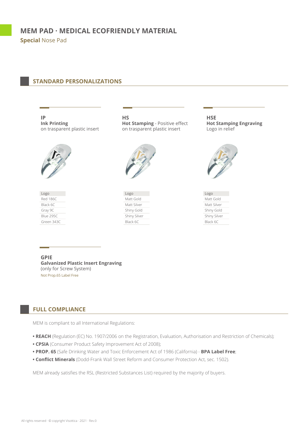## **STANDARD PERSONALIZATIONS**

**IP Ink Printing** on trasparent plastic insert



Red 186C Black 6C Gray 9C Blue 295C Green 343C Logo

**HS Hot Stamping** - Positive effect on trasparent plastic insert



Matt Gold Matt Silver Shiny Gold Shiny Silver Black 6C Logo

**HSE Hot Stamping Engraving** Logo in relief



Matt Gold Matt Silver Shiny Gold Shiny Silver Black 6C Logo

**GPIE Galvanized Plastic Insert Engraving** (only for Screw System) Not Prop.65 Label Free

## **FULL COMPLIANCE**

MEM is compliant to all International Regulations:

- **REACH** (Regulation (EC) No. 1907/2006 on the Registration, Evaluation, Authorisation and Restriction of Chemicals);
- **CPSIA** (Consumer Product Safety Improvement Act of 2008);
- **PROP. 65** (Safe Drinking Water and Toxic Enforcement Act of 1986 (California) **BPA Label Free**;
- **Conflict Minerals** (Dodd-Frank Wall Street Reform and Consumer Protection Act, sec. 1502).

MEM already satisfies the RSL (Restricted Substances List) required by the majority of buyers.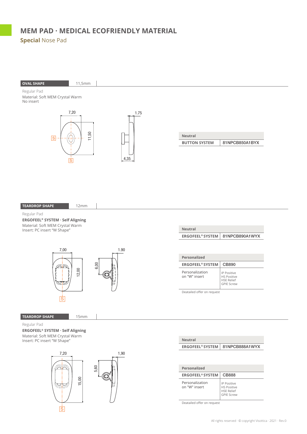## **OVAL SHAPE** 11,5mm

Regular Pad Material: Soft MEM Crystal Warm No insert



| <b>Neutral</b>       |                |
|----------------------|----------------|
| <b>BUTTON SYSTEM</b> | 81NPCB850A1BYX |

#### **TEARDROP SHAPE**

Regular Pad

**ERGOFEEL® SYSTEM · Self Aligning** Material: Soft MEM Crystal Warm Insert: PC insert "W Shape"



12mm

**TEARDROP SHAPE**

15mm

## Regular Pad

**ERGOFEEL® SYSTEM · Self Aligning** Material: Soft MEM Crystal Warm Insert: PC insert "W Shape"



## **Neutral** ERGOFEEL® SYSTEM | 81NPCB890A1WYX

**Personalized ERGOFEEL® SYSTEM** CB890 Personalization on "W" insert IP Positive HS Positive HSE Relief GPIE Screw

Deatailed offer on request

**Neutral**

| iveutral                |                |
|-------------------------|----------------|
| <b>ERGOFEEL® SYSTEM</b> | 81NPCB888A1WYX |
|                         |                |
|                         |                |
|                         |                |
| Personalized            |                |

| <b>ERGOFEEL® SYSTEM</b>          | CB888                                                                       |
|----------------------------------|-----------------------------------------------------------------------------|
| Personalization<br>on "W" insert | IP Positive<br><b>HS Positive</b><br><b>HSE Relief</b><br><b>GPIE Screw</b> |

Deatailed offer on request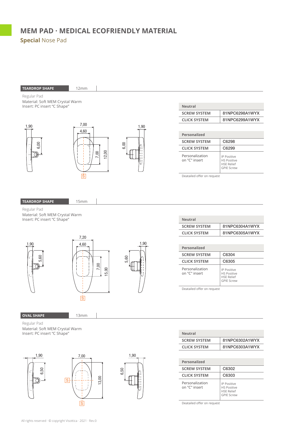



| <b>Neutral</b>      |                |
|---------------------|----------------|
| <b>SCREW SYSTEM</b> | 81NPC6302A1WYX |
| <b>CLICK SYSTEM</b> | 81NPC6303A1WYX |

| Personalized                     |                                                                                    |
|----------------------------------|------------------------------------------------------------------------------------|
| <b>SCREW SYSTEM</b>              | C6302                                                                              |
| <b>CLICK SYSTEM</b>              | C6303                                                                              |
| Personalization<br>on "C" insert | <b>IP Positive</b><br><b>HS Positive</b><br><b>HSE Relief</b><br><b>GPIE Screw</b> |

Deatailed offer on request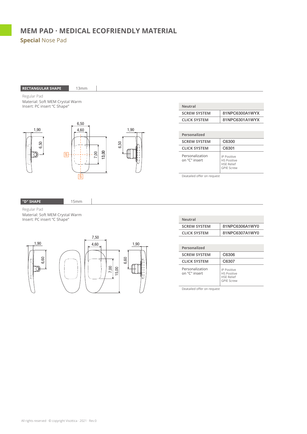

Regular Pad Material: Soft MEM Crystal Warm

Insert: PC insert "C Shape"



| <b>\leutral</b> |  |
|-----------------|--|
|-----------------|--|

| <b>Neutral</b>      |                |
|---------------------|----------------|
| <b>SCREW SYSTEM</b> | 81NPC6306A1WY0 |
| <b>CLICK SYSTEM</b> | 81NPC6307A1WY0 |

| Personalized                     |                                                                                    |
|----------------------------------|------------------------------------------------------------------------------------|
| <b>SCREW SYSTEM</b>              | C6306                                                                              |
| <b>CLICK SYSTEM</b>              | C6307                                                                              |
| Personalization<br>on "C" insert | <b>IP Positive</b><br><b>HS Positive</b><br><b>HSE Relief</b><br><b>GPIF Screw</b> |

Deatailed offer on request